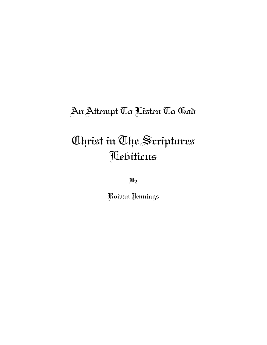# An Attempt To Listen To God

# Christ in The Scriptures Leviticus

By

Rowan Jennings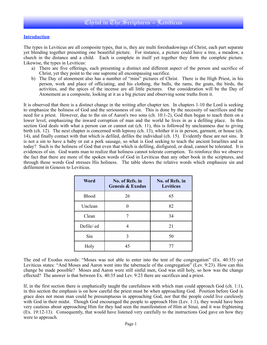#### **Introduction**

The types in Leviticus are all composite types, that is, they are multi foreshadowings of Christ, each part separate yet blending together presenting one beautiful picture. For instance, a picture could have a tree, a meadow, a church in the distance and a child. Each is complete in itself yet together they form the complete picture. Likewise, the types in Leviticus:

- a) There are five offerings, each presenting a distinct and different aspect of the person and sacrifice of Christ, yet they point to the one supreme all encompassing sacrifice.
- b) The Day of atonement also has a number of "mini" pictures of Christ. There is the High Priest, in his person, work and place of officiating, and his clothing, the bulls, the rams, the goats, the birds, the activities, and the spices of the incense are all little pictures. Our consideration will be the Day of Atonement as a composite, looking at it as a big picture and observing some truths from it.

It is observed that there is a distinct change in the writing after chapter ten. In chapters 1-10 the Lord is seeking to emphasize the holiness of God and the seriousness of sin. This is done by the necessity of sacrifices and the need for a priest. However, due to the sin of Aaron's two sons (ch. 10:1-2), God then began to teach them on a lower level, emphasizing the inward corruption of man and the world he lives in as a defiling place. In this section God deals with what a person can or cannot eat (ch. 11), this is followed by uncleanness due to giving birth (ch. 12). The next chapter is concerned with leprosy (ch. 13), whither it is in person, garment, or house (ch. 14), and finally contact with that which is defiled, defiles the individual (ch. 15). Evidently these are not sins. It is not a sin to have a baby or eat a pork sausage, so what is God seeking to teach the ancient Israelites and us today? Such is the holiness of God that even that which is defiling, disfigured, or dead, cannot be tolerated. It is evidences of sin. God wants man to realize that holiness cannot tolerate corruption. To reinforce this we observe the fact that there are more of the spoken words of God in Leviticus than any other book in the scriptures, and through those words God stresses His holiness. The table shows the relative words which emphasize sin and defilement in Genesis to Leviticus.

| Word         | No. of Refs. in<br><b>Genesis &amp; Exodus</b> | No. of Refs. in<br><b>Leviticus</b> |
|--------------|------------------------------------------------|-------------------------------------|
| <b>Blood</b> | 26                                             | 65                                  |
| Unclean      |                                                | 82                                  |
| Clean        |                                                | 34                                  |
| Defile/ed    |                                                | 21                                  |
| Sin          |                                                | 50                                  |
| Holy         | 45                                             | 77                                  |

The end of Exodus records: "Moses was not able to enter into the tent of the congregation" (Ex. 40:35) yet Leviticus states: "And Moses and Aaron went into the tabernacle of the congregation" (Lev. 9:23). How can this change be made possible? Moses and Aaron were still sinful men, God was still holy, so how was the change effected? The answer is that between Ex. 40:35 and Lev. 9:23 there are sacrifices and a priest.

If, in the first section there is emphatically taught the carefulness with which man could approach God (ch. 1:1), in this section the emphasis is on how careful the priest must be when approaching God. Position before God in grace does not mean man could be presumptuous in approaching God, nor that the people could live carelessly with God in their midst. Though God encouraged the people to approach Him (Lev. 1:1), they would have been very cautious about approaching Him for they had seen the manifestation of Him at Sinai, and it was frightening (Ex. 19:12-13). Consequently, that would have listened very carefully to the instructions God gave on how they were to approach.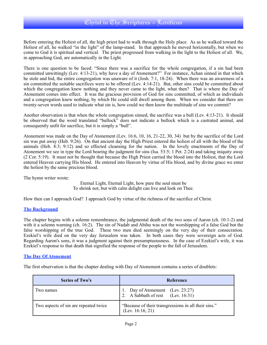Before entering the Holiest of all, the high priest had to walk through the Holy place. As as he walked toward the Holiest of all, he walked "in the light" of the lamp-stand. In that approach he moved horizontally, but when we come to God it is spiritual and vertical. The priest progressed from walking in the light to the Holiest of all. We, in approaching God, are automatically in the Light.

There is one question to be faced: "Since there was a sacrifice for the whole congregation, if a sin had been committed unwittingly (Lev. 4:13-21), why have a day of Atonement?" For instance, Achan sinned in that which he stole and hid, the entire congregation was unaware of it (Josh. 7:1, 18-24). When there was an awareness of a sin committed the suitable sacrifices were to be offered (Lev. 4:14-21). But, other sins could be committed about which the congregation knew nothing and they never came to the light, what then? That is where the Day of Atonement comes into effect. It was the gracious provision of God for sins committed, of which as individuals and a congregation knew nothing, by which He could still dwell among them. When we consider that there are twenty-seven words used to indicate what sin is, how could we then know the multitude of sins we commit?

Another observation is that when the whole congregation sinned, the sacrifice was a bull (Lev. 4:13-21). It should be observed that the word translated "bullock" does not indicate a bullock which is a castrated animal, and consequently unfit for sacrifice, but it is simply a "bull".

Atonement was made on the Day of Atonement (Lev. 16:6, 10, 16, 21-22, 30, 34) but by the sacrifice of the Lord sin was put away (Heb. 9:26). On that ancient day the High Priest entered the holiest of all with the blood of the animals (Heb. 8:3; 9:12) and so effected cleansing for the nation. In the lovely enactments of the Day of Atonement we see in type the Lord bearing the judgment for sins (Isa. 53:5; 1 Pet. 2:24) and taking iniquity away (2 Cor. 5:19). It must not be thought that because the High Priest carried the blood into the Holiest, that the Lord entered Heaven carrying His blood. He entered into Heaven by virtue of His blood, and by divine grace we enter the holiest by the same precious blood.

The hymn writer wrote:

Eternal Light, Eternal Light, how pure the soul must be To shrink not, but with calm delight can live and look on Thee.

How then can I approach God? I approach God by virtue of the richness of the sacrifice of Christ.

#### **The Background**

The chapter begins with a solemn remembrance, the judgmental death of the two sons of Aaron (ch. 10:1-2) and with it a solemn warning (ch. 16:2). The sin of Nadab and Abihu was not the worshipping of a false God but the false worshipping of the true God. These two men died seemingly on the very day of their consecration. Ezekiel's wife died on the very day Jerusalem was taken. In both cases they were sovereign acts of God. Regarding Aaron's sons, it was a judgment against their presumptuousness. In the case of Ezekiel's wife, it was Ezekiel's response to that death that signified the response of the people to the fall of Jerusalem.

#### **The Day Of Atonement**

The first observation is that the chapter dealing with Day of Atonement contains a series of doublets:

| <b>Series of Two's</b>                | Reference                                                                |
|---------------------------------------|--------------------------------------------------------------------------|
| I wo names                            | 1. Day of Atonement (Lev. 23:27)<br>2. A Sabbath of rest (Lev. 16:31)    |
| Two aspects of sin are repeated twice | "Because of their transgressions in all their sins."<br>(Lev. 16:16, 21) |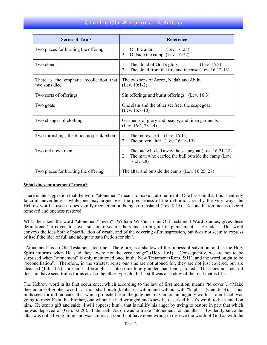## Uhrist in The Scriptures - Lebiticus

| <b>Series of Two's</b>                                   | <b>Reference</b>                                                                                                                         |  |
|----------------------------------------------------------|------------------------------------------------------------------------------------------------------------------------------------------|--|
| Two places for burning the offering                      | On the altar<br>(Lev. $16:25$ )<br>$1_{-}$<br>Outside the camp (Lev. 16:27)<br>$\overline{2}$ .                                          |  |
| Two clouds                                               | The cloud of God's glory<br>(Lev. $16:2$ )<br>1.<br>The cloud from the fire and incense (Lev. 16:12-13)<br>$\overline{2}$ .              |  |
| There is the emphatic recollection that<br>two sons died | The two sons of Aaron, Nadab and Abihu<br>$(Lev. 10:1-2)$                                                                                |  |
| Two sorts of offerings                                   | Sin offerings and burnt offerings (Lev. 16:3)                                                                                            |  |
| Two goats                                                | One slain and the other set free, the scapegoat<br>(Lev. $16:8-10$ )                                                                     |  |
| Two changes of clothing                                  | Garments of glory and beauty, and linen garments<br>(Lev. 16:4, 23-24)                                                                   |  |
| Two furnishings the blood is sprinkled on                | The mercy seat $(Lev. 16:14)$<br>$\mathbf{1}$ .<br>The brazen altar (Lev. 16:18-19)<br>$2_{-}$                                           |  |
| Two unknown men                                          | The one who led away the scapegoat (Lev. 16:21-22)<br>1.<br>The man who carried the bull outside the camp (Lev.<br>$2_{-}$<br>$16:27-28$ |  |
| Two places for burning the offering                      | The altar and outside the camp (Lev. 16:25, 27)                                                                                          |  |

#### **What does "atonement" mean?**

There is the suggestion that the word "atonement" means to make it at-one-ment. One has said that this is entirely fanciful, nevertheless, while one may argue over the preciseness of the definition, yet by the very ways the Hebrew word is used it does signify reconciliation being so translated (Lev. 8:15). Reconciliation means discord removed and oneness restored.

What then does the word "atonement" mean? William Wilson, in his Old Testament Word Studies, gives these definitions: "to cover, to cover sin, or to secure the sinner from guilt or punishment". He adds: "This word conveys the idea both of pacification of wrath, and of the covering of transgression, but does not seem to express of itself the idea of full and adequate satisfaction for sin".

"Atonement" is an Old Testament doctrine. Therefore, is a shadow of the fulness of salvation, and as the Holy Spirit informs when He said they "were not the very image" (Heb. 10:1). Consequently, we are not to be surprised when "atonement" is only mentioned once in the New Testament (Rom. 5:11), and the word ought to be "reconciliation". Therefore, in the strictest sense our sins are not atoned for, they are not just covered, but are cleansed (1 Jn. 1:7), for God had brought us into something grander than being atoned. This does not mean it does not have seed truths for us as also the other types do, but it still was a shadow of the, real that is Christ.

The Hebrew word in its first occurrence, which according to the law of first mention, means "to cover". "Make thee an ark of gopher wood . . . thou shalt pitch (kaphar) it within and without with "kaphar" (Gen. 6:14). Thus in its seed form it indicates that which protected from the judgment of God on an ungodly world. Later Jacob was going to meet Esau, his brother, one whom he had wronged and knew he deserved Easu's wrath to be vented on him. He sent a gift and said: "I will appease him", that is nullify his anger by trying to restore in part that which he was deprived of (Gen. 32:20). Later still, Aaron was to make "atonement for the altar". Evidently since the altar was not a living thing and was amoral, it could not have done wrong to deserve the wrath of God as with the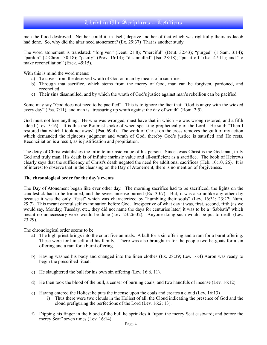men the flood destroyed. Neither could it, in itself, deprive another of that which was rightfully theirs as Jacob had done. So, why did the altar need atonement? (Ex. 29:37) That is another study.

The word atonement is translated: "forgiven" (Deut. 21:8); "merciful" (Deut. 32:43); "purged" (1 Sam. 3:14); "pardon" (2 Chron. 30:18); "pacify" (Prov. 16:14); "disannulled" (Isa. 28:18); "put it off" (Isa. 47:11); and "to make reconciliation" (Ezek. 45:15).

With this is mind the word means:

- a) To cover from the deserved wrath of God on man by means of a sacrifice.
- b) Through that sacrifice, which stems from the mercy of God, man can be forgiven, pardoned, and reconciled.
- c) Their sins disannulled, and by which the wrath of God's justice against man's rebellion can be pacified.

Some may say "God does not need to be pacified". This is to ignore the fact that: "God is angry with the wicked every day" (Psa. 7:11), and man is "treasuring up wrath against the day of wrath" (Rom. 2:5).

God must not lose anything. He who was wronged, must have that in which He was wrong restored, and a fifth added (Lev. 5:16). It is this the Psalmist spoke of when speaking prophetically of the Lord. He said: "Then I restored that which I took not away" (Psa. 69:4). The work of Christ on the cross removes the guilt of my action which demanded the righteous judgment and wrath of God, thereby God's justice is satisfied and He rests. Reconciliation is a result, as is justification and propitiation.

The deity of Christ establishes the infinite intrinsic value of his person. Since Jesus Christ is the God-man, truly God and truly man, His death is of infinite intrinsic value and all-sufficient as a sacrifice. The book of Hebrews clearly says that the sufficiency of Christ's death negated the need for additional sacrifices (Heb. 10:10, 26).It is of interest to observe that in the cleansing on the Day of Atonement, there is no mention of forgiveness.

#### **The chronological order for the day's events**

The Day of Atonement began like ever other day. The morning sacrifice had to be sacrificed, the lights on the candlestick had to be trimmed, and the sweet incense burned (Ex. 30:7). But, it was also unlike any other day because it was the only "feast" which was characterized by "humbling their souls" (Lev. 16:31; 23:27; Num. 29:7). This meant careful self examination before God. Irrespective of what day it was, first, second, fifth (as we would say, Monday, Tuesday, etc., they did not name the days for centuries later) it was to be a "Sabbath" which meant no unnecessary work would be done (Lev. 23:26-32). Anyone doing such would be put to death (Lev. 23:29).

The chronological order seems to be:

- a) The high priest brings into the court five animals. A bull for a sin offering and a ram for a burnt offering. These were for himself and his family. There was also brought in for the people two he-goats for a sin offering and a ram for a burnt offering.
- b) Having washed his body and changed into the linen clothes (Ex. 28:39; Lev. 16:4) Aaron was ready to begin the prescribed ritual.
- c) He slaughtered the bull for his own sin offering (Lev. 16:6, 11).
- d) He then took the blood of the bull, a censer of burning coals, and two handfuls of incense (Lev. 16:12)
- e) Having entered the Holiest he puts the incense upon the coals and creates a cloud (Lev. 16:13)
	- i) Thus there were two clouds in the Holiest of all, the Cloud indicating the presence of God and the cloud prefiguring the perfections of the Lord (Lev. 16:2; 13).
- f) Dipping his finger in the blood of the bull he sprinkles it "upon the mercy Seat eastward; and before the mercy Seat" seven times (Lev. 16:14).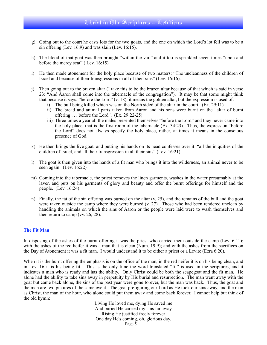- g) Going out to the court he casts lots for the two goats, and the one on which the Lord's lot fell was to be a sin offering (Lev. 16:9) and was slain (Lev. 16:15).
- h) The blood of that goat was then brought "within the vail" and it too is sprinkled seven times "upon and before the mercy seat" ( Lev. 16:15)
- i) He then made atonement for the holy place because of two matters: "The uncleanness of the children of Israel and because of their transgressions in all of their sins" (Lev. 16:16).
- j) Then going out to the brazen altar (I take this to be the brazen altar because of that which is said in verse 23: "And Aaron shall come into the tabernacle of the congregation"). It may be that some might think that because it says: "before the Lord" (v. 18), it means the golden altar, but the expression is used of:
	- i) The bull being killed which was on the North sided of the altar in the court. (Ex. 29:11)
	- ii) The bread and animal parts taken from Aaron and his sons were burnt on the "altar of burnt offering . . . before the Lord". (Ex. 29:22-25)
	- iii) Three times a year all the males presented themselves "before the Lord" and they never came into the holy place, that is the first room of the tabernacle (Ex. 34:23). Thus, the expression "before the Lord" does not always specify the holy place, rather, at times it means in the conscious presence of God.
- k) He then brings the live goat, and putting his hands on its head confesses over it: "all the iniquities of the children of Israel, and all their transgression in all their sins" (Lev. 16:21).
- l) The goat is then given into the hands of a fit man who brings it into the wilderness, an animal never to be seen again. (Lev. 16:22)
- m) Coming into the tabernacle, the priest removes the linen garments, washes in the water presumably at the laver, and puts on his garments of glory and beauty and offer the burnt offerings for himself and the people. (Lev. 16:24)
- n) Finally, the fat of the sin offering was burned on the altar (v. 25), and the remains of the bull and the goat were taken outside the camp where they were burned (v. 27). Those who had been rendered unclean by handling the animals on which the sins of Aaron or the people were laid were to wash themselves and then return to camp (vv. 26, 28).

#### **The Fit Man**

In disposing of the ashes of the burnt offering it was the priest who carried them outside the camp (Lev. 6:11); with the ashes of the red heifer it was a man that is clean (Num. 19:9); and with the ashes from the sacrifices on the Day of Atonement it was a fit man. I would understand it to be either a priest or a Levite (Ezra 6:20).

When it is the burnt offering the emphasis is on the office of the man, in the red heifer it is on his being clean, and in Lev. 16 it is his being fit. This is the only time the word translated "fit" is used in the scriptures, and it indicates a man who is ready and has the ability. Only Christ could be both the scapegoat and the fit man. He alone had the ability to take sins away in perpetuity by His burial and resurrection. The man went away with the goat but came back alone, the sins of the past year were gone forever, but the man was back. Thus, the goat and the man are two pictures of the same event. The goat prefiguring our Lord as He took our sins away, and the man as Christ, the man of the hour, who alone could put them away and come back forever. I cannot help but think of the old hymn:

> Living He loved me, dying He saved me And buried He carried my sins far away Rising He justified freely forever One day He's coming, oh, glorious day. Page 5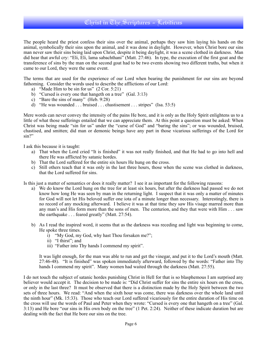### Uhrist in The Scriptures - Lebiticus

The people heard the priest confess their sins over the animal, perhaps they saw him laying his hands on the animal, symbolically their sins upon the animal, and it was done in daylight. However, when Christ bore our sins man never saw their sins being laid upon Christ, despite it being daylight, it was a scene clothed in darkness. Man did hear that awful cry: "Eli, Eli, lama sabachthani" (Matt. 27:46). In type, the execution of the first goat and the transference of sins by the man on the second goat had to be two events showing two different truths, but when it came to our Lord, they were the same event.

The terms that are used for the experience of our Lord when bearing the punishment for our sins are beyond fathoming. Consider the words used to describe the afflictions of our Lord:

- a) "Made Him to be sin for us" (2 Cor. 5:21)
- b) "Cursed is every one that hangeth on a tree" (Gal. 3:13)
- c) "Bare the sins of many" (Heb. 9:28)
- d) "He was wounded . . . bruised . . . chastisement . . . stripes" (Isa. 53:5)

Mere words can never convey the intensity of the pains He bore, and it is only as the Holy Spirit enlightens us to a little of what those sufferings entailed that we can appreciate them. At this point a question must be asked: When Christ was being made "sin for us" under the "curse of God" and "baring the sins"; or was wounded, bruised, chastised, and smitten; did man or demonic beings have any part in those vicarious sufferings of the Lord for sin?"

I ask this because it is taught:

- a) That when the Lord cried "It is finished" it was not really finished, and that He had to go into hell and there He was afflicted by satanic hordes.
- b) That the Lord suffered for the entire six hours He hung on the cross.
- c) Still others teach that it was only in the last three hours, those when the scene was clothed in darkness, that the Lord suffered for sins.

Is this just a matter of semantics or does it really matter? I see it as important for the following reasons:

- a) We do know the Lord hung on the tree for at least six hours, but after the darkness had passed we do not know how long He was seen by man in the returning light. I suspect that it was only a matter of minutes for God will not let His beloved suffer one iota of a minute longer than necessary. Interestingly, there is no record of any mocking afterward. I believe it was at that time they saw His visage marred more than any man's and His form more than the sons of men. The centurion, and they that were with Him . . . saw the earthquake . . . feared greatly" (Matt. 27:54).
- b) As I read the inspired word, it seems that as the darkness was receding and light was beginning to come, He spoke three times.
	- $\hat{i}$  "My God, my God, why hast Thou forsaken me?";
	- ii) "I thirst"; and
	- iii) "Father into Thy hands I commend my spirit".

It was light enough, for the man was able to run and get the vinegar, and put it to the Lord's mouth (Matt. 27:46-48). "It is finished" was spoken immediately afterward, followed by the words: "Father into Thy hands I commend my spirit". Many women had waited through the darkness (Matt. 27:55).

I do not touch the subject of satanic hordes punishing Christ in Hell for that is so blasphemous I am surprised any believer would accept it. The decision to be made is: "Did Christ suffer for sins the entire six hours on the cross, or only in the last three? It must be observed that there is a distinction made by the Holy Spirit between the two sets of three hours. We read: "And when the sixth hour was come, there was darkness over the whole land until the ninth hour" (Mk. 15:33). Those who teach our Lord suffered vicariously for the entire duration of His time on the cross will use the words of Paul and Peter when they wrote: "Cursed is every one that hangeth on a tree" (Gal. 3:13) and He bore "our sins in His own body on the tree" (1 Pet. 2:24). Neither of these indicate duration but are dealing with the fact that He bore our sins on the tree.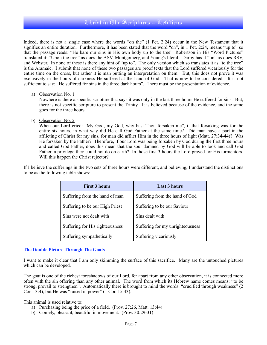Indeed, there is not a single case where the words "on the" (1 Pet. 2:24) occur in the New Testament that it signifies an entire duration. Furthermore, it has been stated that the word "on", in 1 Pet. 2:24, means "up to" so that the passage reads: "He bare our sins in His own body up to the tree". Robertson in His "Word Pictures" translated it: "Upon the tree" as does the ASV, Montgomery, and Young's literal. Darby has it "on" as does RSV, and Webster. In none of these is there any hint of "up to". The only version which so translates it as "to the tree" is the Aramaic. I submit that none of these two passages are proof texts that the Lord suffered vicariously for the entire time on the cross, but rather it is man putting an interpretation on them. But, this does not prove it was exclusively in the hours of darkness He suffered at the hand of God. That is now to be considered. It is not sufficient to say: "He suffered for sins in the three dark hours". There must be the presentation of evidence.

a) Observation No. 1

Nowhere is there a specific scripture that says it was only in the last three hours He suffered for sins. But, there is not specific scripture to present the Trinity. It is believed because of the evidence, and the same goes for the three hours.

b) Observation No. 2

When our Lord cried: "My God, my God, why hast Thou forsaken me", if that forsaking was for the entire six hours, in what way did He call God Father at the same time? Did man have a part in the afflicting of Christ for my sins, for man did afflict Him in the three hours of light (Matt. 27:34-44)? Was He forsaken by the Father? Therefore, if our Lord was being forsaken by God during the first three hours and called God Father, does this mean that the soul damned by God will be able to look and call God Father, a privilege they could not do on earth? In those first 3 hours the Lord prayed for His tormentors. Will this happen the Christ rejector?

If I believe the sufferings in the two sets of three hours were different, and believing, I understand the distinctions to be as the following table shows:

| <b>First 3 hours</b>            | <b>Last 3 hours</b>              |
|---------------------------------|----------------------------------|
| Suffering from the hand of man  | Suffering from the hand of God   |
| Suffering to be our High Priest | Suffering to be our Saviour      |
| Sins were not dealt with        | Sins dealt with                  |
| Suffering for His righteousness | Suffering for my unrighteousness |
| Suffering sympathetically       | Suffering vicariously            |

#### **The Double Picture Through The Goats**

I want to make it clear that I am only skimming the surface of this sacrifice. Many are the untouched pictures which can be developed.

The goat is one of the richest foreshadows of our Lord, for apart from any other observation, it is connected more often with the sin offering than any other animal. The word from which its Hebrew name comes means: "to be strong, prevail to strengthen". Automatically there is brought to mind the words: "crucified through weakness" (2 Cor. 13:4), but He was "raised in power"  $(1 \text{ Cor. } 15:43)$ .

This animal is used relative to:

- a) Purchasing being the price of a field. (Prov. 27:26, Matt. 13:44)
- b) Comely, pleasant, beautiful in movement. (Prov. 30:29-31)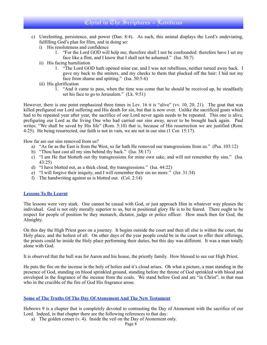- c) Unrelenting, persistence, and power (Dan. 8:4). As such, this animal displays the Lord's undeviating, fulfilling God's plan for Him, and in doing so:
	- i) His resoluteness and confidence
		- 1. "For the Lord GOD will help me; therefore shall I not be confounded: therefore have I set my face like a flint, and I know that I shall not be ashamed." (Isa. 50:7)
	- ii) His facing humiliation
		- 1. "The Lord GOD hath opened mine ear, and I was not rebellious, neither turned away back. I gave my back to the smiters, and my cheeks to them that plucked off the hair: I hid not my face from shame and spitting." (Isa. 50:5-6)
	- iii) His glorification
		- 1. "And it came to pass, when the time was come that he should be received up, he steadfastly set his face to go to Jerusalem." (Lk. 9:51)

However, there is one point emphasized three times in Lev. 16 it is "alive" (vv. 10, 20, 21). The goat that was killed prefigured our Lord suffering and His death for sin, but that is now over. Unlike the sacrificed goats which had to be repeated year after year, the sacrifice of our Lord never again needs to be repeated. This one is alive, prefiguring our Lord as the living One who had carried our sins away, never to be brought back again. Paul writes: "We shall be saved by His life" (Rom. 5:10) that is, because of His resurrection we are justified (Rom. 4:25). He being resurrected, our faith is not in vain, we are not in our sins (1 Cor. 15:17).

How far are our sins removed from us?

- a) "As far as the East is from the West, so far hath He removed our transgressions from us." (Psa. 103:12)
- b) "Thou hast cast all my sins behind thy back." (Isa. 38:17)
- c) "I am He that blotteth out thy transgressions for mine own sake, and will not remember thy sins." (Isa. 43:25)
- d) "I have blotted out, as a thick cloud, thy transgressions." (Isa. 44:22)
- e) "I will forgive their iniquity, and I will remember their sin no more." (Jer. 31:34)
- f) The handwriting against us is blotted out. (Col. 2:14)

#### **Lessons To Be Learnt**

The lessons were very stark. One cannot be casual with God, or just approach Him in whatever way pleases the individual. God is not only morally superior to us, but in positional glory He is to be feared. There ought to be respect for people of position be they monarch, dictator, judge or police officer. How much then for God, the Almighty.

On this day the High Priest goes on a journey. It begins outside the court and then all else is within the court, the Holy place, and the holiest of all. On other days of the year people could be in the court to offer their offerings, the priests could be inside the Holy place performing their duties, but this day was different. It was a man totally alone with God.

It is observed that the bull was for Aaron and his house, the priestly family. How blessed to see our High Priest.

He puts the fire on the incense in the holy of holies and it's cloud arises. Oh what a picture, a man standing in the presence of God, standing on blood sprinkled ground, standing before the throne of God sprinkled with blood and enveloped in the fragrance of the incense from the coals. We stand before God and are "in Christ", in that man who in the crucible of the fire of God His fragrance arose.

#### **Some of The Truths Of The Day Of Atonement And The New Testament**

Hebrews 9 is a chapter that is completely devoted to contrasting the Day of Atonement with the sacrifice of our Lord. Indeed, in that chapter there are the following references to that day:

a) The golden censer (v. 4). Inside the veil on the Day of Atonement only.